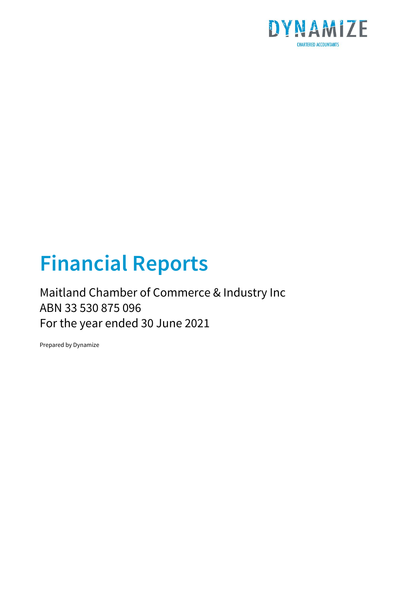

# **Financial Reports**

### Maitland Chamber of Commerce & Industry Inc ABN 33 530 875 096 For the year ended 30 June 2021

Prepared by Dynamize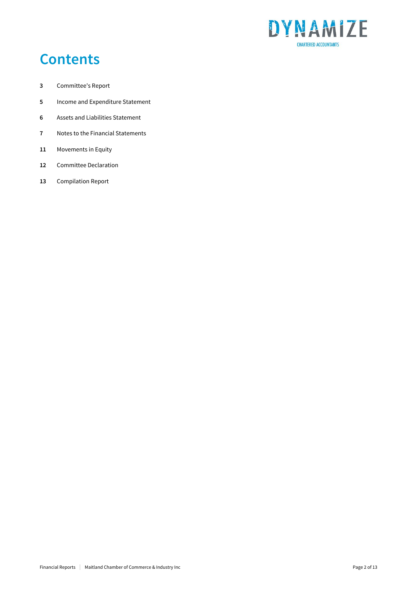

## **Contents**

- Committee's Report
- Income and Expenditure Statement
- Assets and Liabilities Statement
- Notes to the Financial Statements
- Movements in Equity
- Committee Declaration
- Compilation Report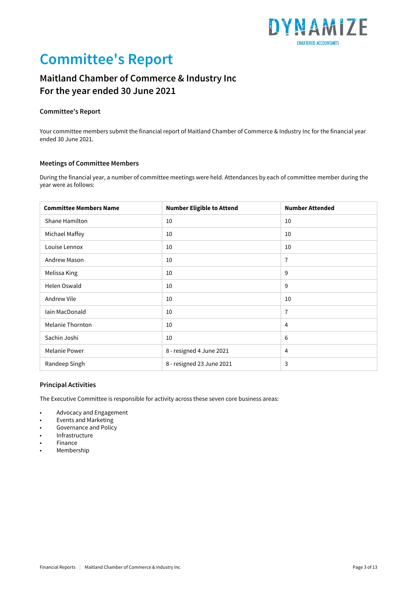

## **Committee's Report**

### **Maitland Chamber of Commerce & Industry Inc For the year ended 30 June 2021**

#### **Committee's Report**

Your committee members submit the financial report of Maitland Chamber of Commerce & Industry Inc for the financial year ended 30 June 2021.

#### **Meetings of Committee Members**

During the financial year, a number of committee meetings were held. Attendances by each of committee member during the year were as follows:

| <b>Committee Members Name</b> | <b>Number Eligible to Attend</b> | <b>Number Attended</b> |
|-------------------------------|----------------------------------|------------------------|
| Shane Hamilton                | 10                               | 10                     |
| Michael Maffey                | 10                               | 10                     |
| Louise Lennox                 | 10                               | 10                     |
| Andrew Mason                  | 10                               | $\overline{7}$         |
| Melissa King                  | 10                               | 9                      |
| Helen Oswald                  | 10                               | 9                      |
| Andrew Vile                   | 10                               | 10                     |
| Iain MacDonald                | 10                               | $\overline{7}$         |
| Melanie Thornton              | 10                               | 4                      |
| Sachin Joshi                  | 10                               | 6                      |
| <b>Melanie Power</b>          | 8 - resigned 4 June 2021         | 4                      |
| Randeep Singh                 | 8 - resigned 23 June 2021        | 3                      |

#### **Principal Activities**

The Executive Committee is responsible for activity across these seven core business areas:

- Advocacy and Engagement
- Events and Marketing
- Governance and Policy
- Infrastructure
- Finance
- **Membership**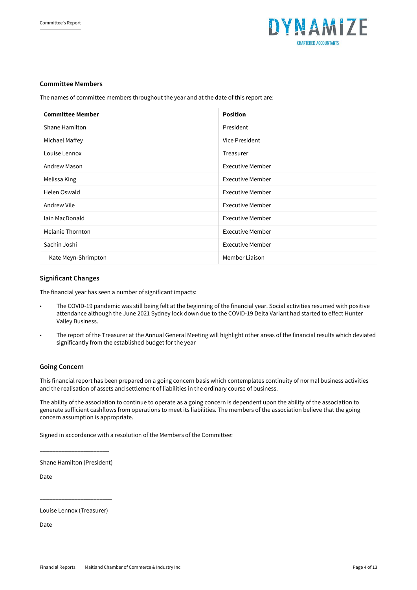

#### **Committee Members**

The names of committee members throughout the year and at the date of this report are:

| <b>Committee Member</b> | <b>Position</b>         |
|-------------------------|-------------------------|
| Shane Hamilton          | President               |
| Michael Maffey          | Vice President          |
| Louise Lennox           | Treasurer               |
| Andrew Mason            | <b>Executive Member</b> |
| Melissa King            | <b>Executive Member</b> |
| Helen Oswald            | <b>Executive Member</b> |
| Andrew Vile             | <b>Executive Member</b> |
| Iain MacDonald          | Executive Member        |
| Melanie Thornton        | Executive Member        |
| Sachin Joshi            | <b>Executive Member</b> |
| Kate Meyn-Shrimpton     | Member Liaison          |

#### **Significant Changes**

The financial year has seen a number of significant impacts:

- The COVID-19 pandemic was still being felt at the beginning of the financial year. Social activities resumed with positive attendance although the June 2021 Sydney lock down due to the COVID-19 Delta Variant had started to effect Hunter Valley Business.
- The report of the Treasurer at the Annual General Meeting will highlight other areas of the financial results which deviated significantly from the established budget for the year

#### **Going Concern**

This financial report has been prepared on a going concern basis which contemplates continuity of normal business activities and the realisation of assets and settlement of liabilities in the ordinary course of business.

The ability of the association to continue to operate as a going concern is dependent upon the ability of the association to generate sufficient cashflows from operations to meet its liabilities. The members of the association believe that the going concern assumption is appropriate.

Signed in accordance with a resolution of the Members of the Committee:

\_\_\_\_\_\_\_\_\_\_\_\_\_\_\_\_\_\_\_\_\_\_ Shane Hamilton (President)

Date

Louise Lennox (Treasurer)

\_\_\_\_\_\_\_\_\_\_\_\_\_\_\_\_\_\_\_\_\_\_\_

Date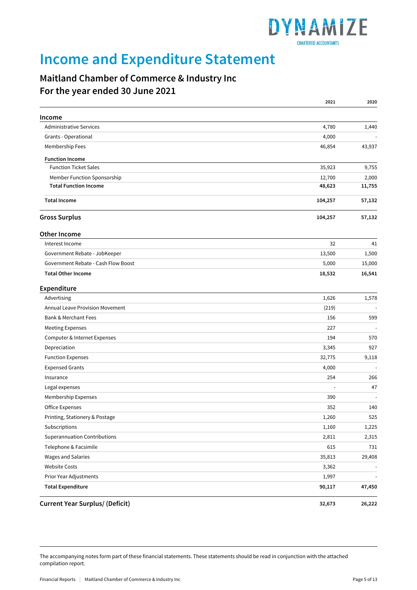

## **Income and Expenditure Statement**

### **Maitland Chamber of Commerce & Industry Inc For the year ended 30 June 2021**

|                                        | 2021                     | 2020   |
|----------------------------------------|--------------------------|--------|
| Income                                 |                          |        |
| <b>Administrative Services</b>         | 4,780                    | 1,440  |
| Grants - Operational                   | 4,000                    |        |
| Membership Fees                        | 46,854                   | 43,937 |
| <b>Function Income</b>                 |                          |        |
| <b>Function Ticket Sales</b>           | 35,923                   | 9,755  |
| Member Function Sponsorship            | 12,700                   | 2,000  |
| <b>Total Function Income</b>           | 48,623                   | 11,755 |
| <b>Total Income</b>                    | 104,257                  | 57,132 |
| <b>Gross Surplus</b>                   | 104,257                  | 57,132 |
| Other Income                           |                          |        |
| Interest Income                        | 32                       | 41     |
| Government Rebate - JobKeeper          | 13,500                   | 1,500  |
| Government Rebate - Cash Flow Boost    | 5,000                    | 15,000 |
| <b>Total Other Income</b>              | 18,532                   | 16,541 |
| Expenditure                            |                          |        |
| Advertising                            | 1,626                    | 1,578  |
| Annual Leave Provision Movement        | (219)                    |        |
| <b>Bank &amp; Merchant Fees</b>        | 156                      | 599    |
| <b>Meeting Expenses</b>                | 227                      |        |
| Computer & Internet Expenses           | 194                      | 570    |
| Depreciation                           | 3,345                    | 927    |
| <b>Function Expenses</b>               | 32,775                   | 9,118  |
| <b>Expensed Grants</b>                 | 4,000                    |        |
| Insurance                              | 254                      | 266    |
| Legal expenses                         | $\overline{\phantom{a}}$ | 47     |
| Membership Expenses                    | 390                      |        |
| Office Expenses                        | 352                      | 140    |
| Printing, Stationery & Postage         | 1,260                    | 525    |
| Subscriptions                          | 1,160                    | 1,225  |
| <b>Superannuation Contributions</b>    | 2,811                    | 2,315  |
| Telephone & Facsimile                  | 615                      | 731    |
| Wages and Salaries                     | 35,813                   | 29,408 |
| <b>Website Costs</b>                   | 3,362                    |        |
| Prior Year Adjustments                 | 1,997                    |        |
| <b>Total Expenditure</b>               | 90,117                   | 47,450 |
| <b>Current Year Surplus/ (Deficit)</b> | 32,673                   | 26,222 |

The accompanying notes form part of these financial statements. These statements should be read in conjunction with the attached compilation report.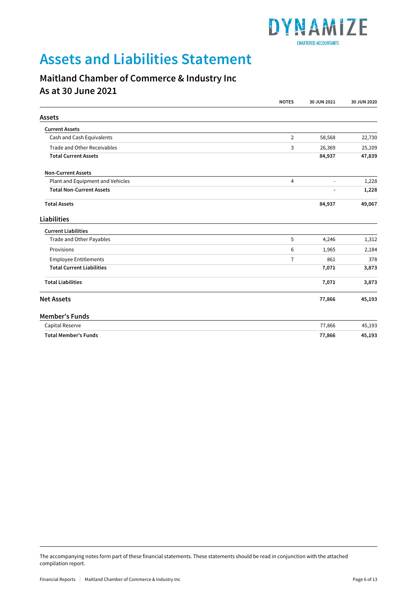

## **Assets and Liabilities Statement**

### **Maitland Chamber of Commerce & Industry Inc As at 30 June 2021**

|                                  | <b>NOTES</b>   | 30 JUN 2021    | 30 JUN 2020 |
|----------------------------------|----------------|----------------|-------------|
| Assets                           |                |                |             |
| <b>Current Assets</b>            |                |                |             |
| Cash and Cash Equivalents        | 2              | 58,568         | 22,730      |
| Trade and Other Receivables      | 3              | 26,369         | 25,109      |
| <b>Total Current Assets</b>      |                | 84,937         | 47,839      |
| <b>Non-Current Assets</b>        |                |                |             |
| Plant and Equipment and Vehicles | $\overline{4}$ | $\blacksquare$ | 1,228       |
| <b>Total Non-Current Assets</b>  |                | $\overline{a}$ | 1,228       |
| <b>Total Assets</b>              |                | 84,937         | 49,067      |
| Liabilities                      |                |                |             |
| <b>Current Liabilities</b>       |                |                |             |
| Trade and Other Payables         | 5              | 4,246          | 1,312       |
| Provisions                       | 6              | 1,965          | 2,184       |
| <b>Employee Entitlements</b>     | $\overline{7}$ | 861            | 378         |
| <b>Total Current Liabilities</b> |                | 7,071          | 3,873       |
| <b>Total Liabilities</b>         |                | 7,071          | 3,873       |
| <b>Net Assets</b>                |                | 77,866         | 45,193      |
| <b>Member's Funds</b>            |                |                |             |
| Capital Reserve                  |                | 77,866         | 45,193      |
| <b>Total Member's Funds</b>      |                | 77,866         | 45,193      |

The accompanying notes form part of these financial statements. These statements should be read in conjunction with the attached compilation report.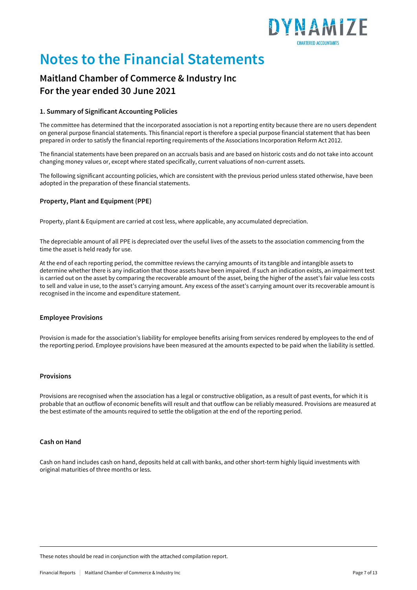

## **Notes to the Financial Statements**

### **Maitland Chamber of Commerce & Industry Inc For the year ended 30 June 2021**

#### **1. Summary of Significant Accounting Policies**

The committee has determined that the incorporated association is not a reporting entity because there are no users dependent on general purpose financial statements. This financial report is therefore a special purpose financial statement that has been prepared in order to satisfy the financial reporting requirements of the Associations Incorporation Reform Act 2012.

The financial statements have been prepared on an accruals basis and are based on historic costs and do not take into account changing money values or, except where stated specifically, current valuations of non-current assets.

The following significant accounting policies, which are consistent with the previous period unless stated otherwise, have been adopted in the preparation of these financial statements.

#### **Property, Plant and Equipment (PPE)**

Property, plant & Equipment are carried at cost less, where applicable, any accumulated depreciation.

The depreciable amount of all PPE is depreciated over the useful lives of the assets to the association commencing from the time the asset is held ready for use.

At the end of each reporting period, the committee reviews the carrying amounts of its tangible and intangible assets to determine whether there is any indication that those assets have been impaired. If such an indication exists, an impairment test is carried out on the asset by comparing the recoverable amount of the asset, being the higher of the asset's fair value less costs to sell and value in use, to the asset's carrying amount. Any excess of the asset's carrying amount over its recoverable amount is recognised in the income and expenditure statement.

#### **Employee Provisions**

Provision is made for the association's liability for employee benefits arising from services rendered by employees to the end of the reporting period. Employee provisions have been measured at the amounts expected to be paid when the liability is settled.

#### **Provisions**

Provisions are recognised when the association has a legal or constructive obligation, as a result of past events, for which it is probable that an outflow of economic benefits will result and that outflow can be reliably measured. Provisions are measured at the best estimate of the amounts required to settle the obligation at the end of the reporting period.

#### **Cash on Hand**

Cash on hand includes cash on hand, deposits held at call with banks, and other short-term highly liquid investments with original maturities of three months or less.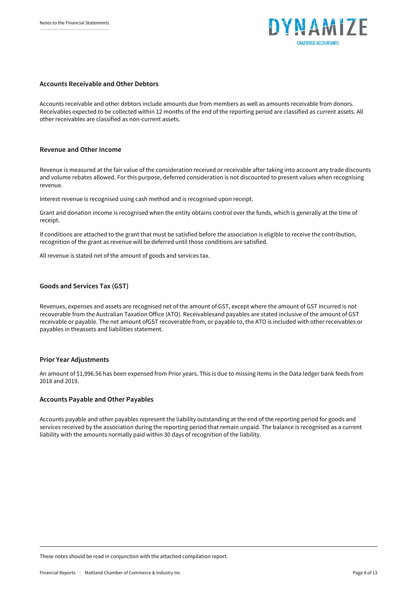

#### **Accounts Receivable and Other Debtors**

Accounts receivable and other debtors include amounts due from members as well as amounts receivable from donors. Receivables expected to be collected within 12 months of the end of the reporting period are classified as current assets. All other receivables are classified as non-current assets.

#### **Revenue and Other Income**

Revenue is measured at the fair value of the consideration received or receivable after taking into account any trade discounts and volume rebates allowed. For this purpose, deferred consideration is not discounted to present values when recognising revenue.

Interest revenue is recognised using cash method and is recognised upon receipt.

Grant and donation income is recognised when the entity obtains control over the funds, which is generally at the time of receipt.

If conditions are attached to the grant that must be satisfied before the association is eligible to receive the contribution, recognition of the grant as revenue will be deferred until those conditions are satisfied.

All revenue is stated net of the amount of goods and services tax.

#### **Goods and Services Tax (GST)**

Revenues, expenses and assets are recognised net of the amount of GST, except where the amount of GST incurred is not recoverable from the Australian Taxation Office (ATO). Receivablesand payables are stated inclusive of the amount of GST receivable or payable. The net amount ofGST recoverable from, or payable to, the ATO is included with other receivables or payables in theassets and liabilities statement.

#### **Prior Year Adjustments**

An amount of \$1,996.56 has been expensed from Prior years. This is due to missing items in the Data ledger bank feeds from 2018 and 2019.

#### **Accounts Payable and Other Payables**

Accounts payable and other payables represent the liability outstanding at the end of the reporting period for goods and services received by the association during the reporting period that remain unpaid. The balance is recognised as a current liability with the amounts normally paid within 30 days of recognition of the liability.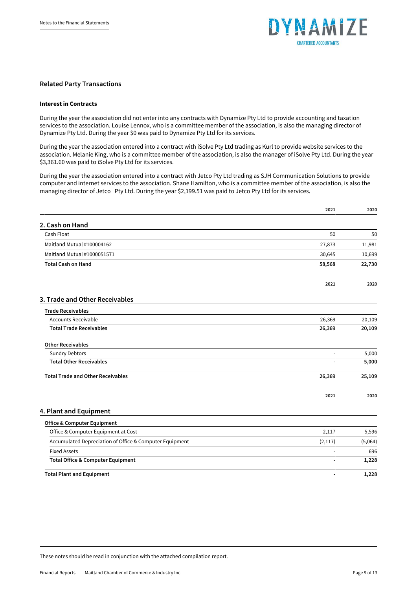

#### **Related Party Transactions**

#### Interest in Contracts

During the year the association did not enter into any contracts with Dynamize Pty Ltd to provide accounting and taxation services to the association. Louise Lennox, who is a committee member of the association, is also the managing director of Dynamize Pty Ltd. During the year \$0 was paid to Dynamize Pty Ltd for its services.

During the year the association entered into a contract with iSolve Pty Ltd trading as Kurl to provide website services to the association. Melanie King, who is a committee member of the association, is also the manager of iSolve Pty Ltd. During the year \$3,361.60 was paid to iSolve Pty Ltd for its services.

During the year the association entered into a contract with Jetco Pty Ltd trading as SJH Communication Solutions to provide computer and internet services to the association. Shane Hamilton, who is a committee member of the association, is also the managing director of Jetco Pty Ltd. During the year \$2,199.51 was paid to Jetco Pty Ltd for its services.

|                                                         | 2021                     | 2020    |
|---------------------------------------------------------|--------------------------|---------|
| 2. Cash on Hand                                         |                          |         |
| Cash Float                                              | 50                       | 50      |
| Maitland Mutual #100004162                              | 27,873                   | 11,981  |
| Maitland Mutual #1000051571                             | 30,645                   | 10,699  |
| <b>Total Cash on Hand</b>                               | 58,568                   | 22,730  |
|                                                         | 2021                     | 2020    |
| 3. Trade and Other Receivables                          |                          |         |
| <b>Trade Receivables</b>                                |                          |         |
| <b>Accounts Receivable</b>                              | 26,369                   | 20,109  |
| <b>Total Trade Receivables</b>                          | 26,369                   | 20,109  |
| <b>Other Receivables</b>                                |                          |         |
| <b>Sundry Debtors</b>                                   | $\blacksquare$           | 5,000   |
| <b>Total Other Receivables</b>                          |                          | 5,000   |
| <b>Total Trade and Other Receivables</b>                | 26,369                   | 25,109  |
|                                                         | 2021                     | 2020    |
| 4. Plant and Equipment                                  |                          |         |
| <b>Office &amp; Computer Equipment</b>                  |                          |         |
| Office & Computer Equipment at Cost                     | 2,117                    | 5,596   |
| Accumulated Depreciation of Office & Computer Equipment | (2, 117)                 | (5,064) |
| <b>Fixed Assets</b>                                     |                          | 696     |
| <b>Total Office &amp; Computer Equipment</b>            |                          | 1,228   |
| <b>Total Plant and Equipment</b>                        | $\overline{\phantom{a}}$ | 1,228   |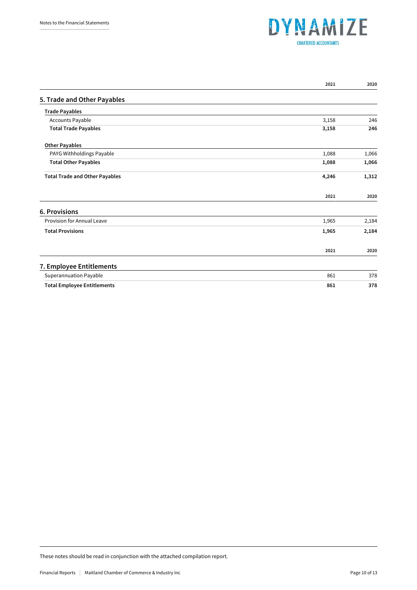

|                                       | 2021  | 2020  |
|---------------------------------------|-------|-------|
| 5. Trade and Other Payables           |       |       |
| <b>Trade Payables</b>                 |       |       |
| Accounts Payable                      | 3,158 | 246   |
| <b>Total Trade Payables</b>           | 3,158 | 246   |
| <b>Other Payables</b>                 |       |       |
| PAYG Withholdings Payable             | 1,088 | 1,066 |
| <b>Total Other Payables</b>           | 1,088 | 1,066 |
| <b>Total Trade and Other Payables</b> | 4,246 | 1,312 |
|                                       | 2021  | 2020  |
| <b>6. Provisions</b>                  |       |       |
| Provision for Annual Leave            | 1,965 | 2,184 |
| <b>Total Provisions</b>               | 1,965 | 2,184 |
|                                       | 2021  | 2020  |
| 7. Employee Entitlements              |       |       |
| Superannuation Payable                | 861   | 378   |
| <b>Total Employee Entitlements</b>    | 861   | 378   |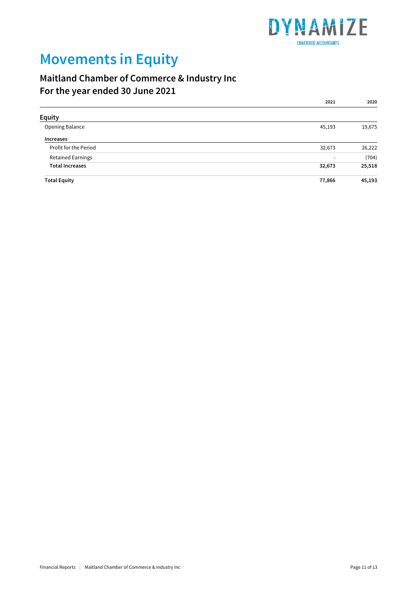

## **Movements in Equity**

### **Maitland Chamber of Commerce & Industry Inc For the year ended 30 June 2021**

|                          | 2021                     | 2020   |
|--------------------------|--------------------------|--------|
| <b>Equity</b>            |                          |        |
| Opening Balance          | 45,193                   | 19,675 |
| Increases                |                          |        |
| Profit for the Period    | 32,673                   | 26,222 |
| <b>Retained Earnings</b> | $\overline{\phantom{a}}$ | (704)  |
| <b>Total Increases</b>   | 32,673                   | 25,518 |
| <b>Total Equity</b>      | 77,866                   | 45,193 |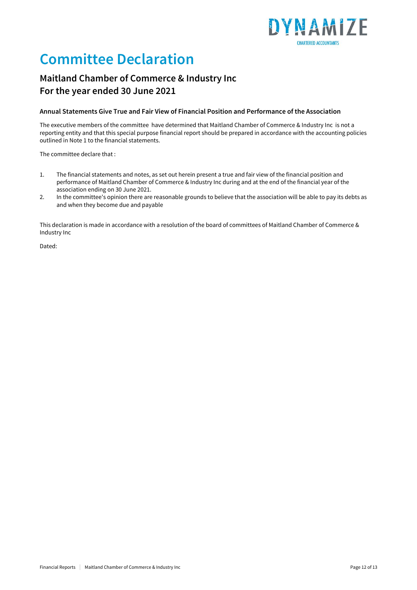

## **Committee Declaration**

### **Maitland Chamber of Commerce & Industry Inc For the year ended 30 June 2021**

#### **Annual Statements Give True and Fair View of Financial Position and Performance of the Association**

The executive members of the committee have determined that Maitland Chamber of Commerce & Industry Inc is not a reporting entity and that this special purpose financial report should be prepared in accordance with the accounting policies outlined in Note 1 to the financial statements.

The committee declare that :

- 1. The financial statements and notes, as set out herein present a true and fair view of the financial position and performance of Maitland Chamber of Commerce & Industry Inc during and at the end of the financial year of the association ending on 30 June 2021.
- 2. In the committee's opinion there are reasonable grounds to believe that the association will be able to pay its debts as and when they become due and payable

This declaration is made in accordance with a resolution of the board of committees of Maitland Chamber of Commerce & Industry Inc

Dated: